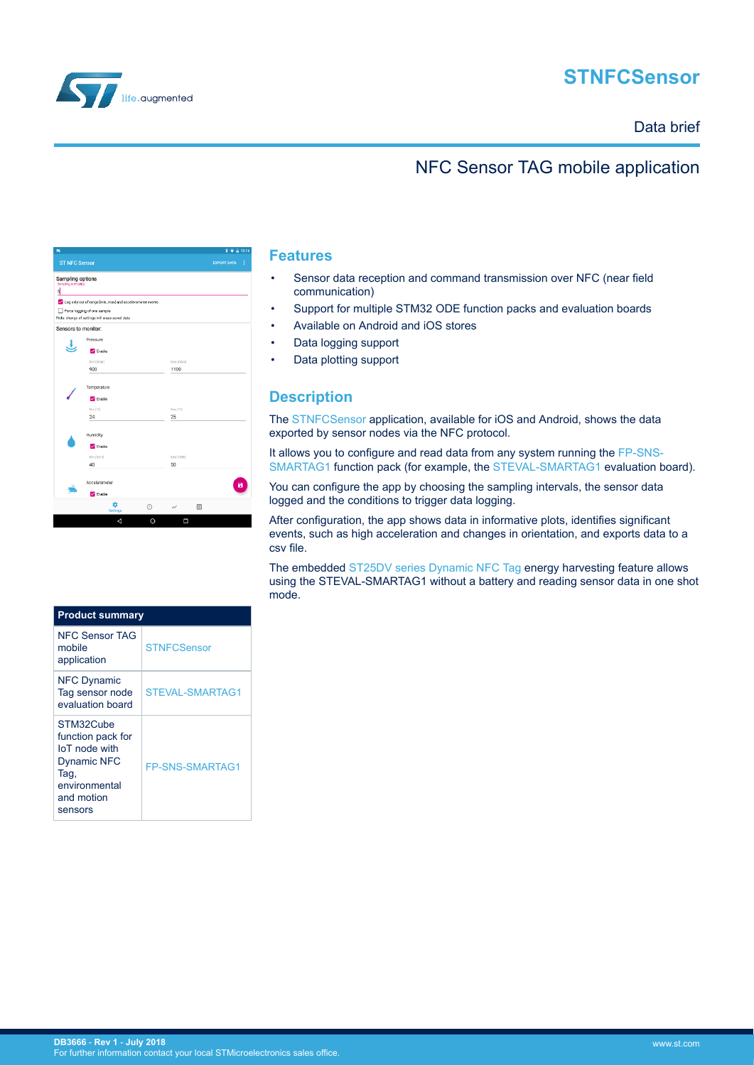

# **STNFCSensor**

### Data brief

### NFC Sensor TAG mobile application

| N                    |                                                           |            | 术 ● Ⅲ 15:16             |
|----------------------|-----------------------------------------------------------|------------|-------------------------|
| <b>ST NFC Sensor</b> |                                                           |            | <b>EXPORT DATA</b><br>I |
| Sampling options     |                                                           |            |                         |
| Sampling interval(s) |                                                           |            |                         |
| ď                    |                                                           |            |                         |
|                      | Log only out of range [min, max] and accelerometer events |            |                         |
|                      | Force logging of one sample                               |            |                         |
|                      | Note: change of settings will erase saved data            |            |                         |
| Sensors to monitor:  |                                                           |            |                         |
|                      | Pressure                                                  |            |                         |
|                      | Enable                                                    |            |                         |
|                      | Min (mbar)                                                | Max (mbar) |                         |
|                      | 900                                                       | 1100       |                         |
|                      |                                                           |            |                         |
|                      | Temperature                                               |            |                         |
|                      |                                                           |            |                         |
|                      | Enable                                                    |            |                         |
|                      | Min (°C)                                                  | Max (°C)   |                         |
|                      | 24                                                        | 25         |                         |
|                      |                                                           |            |                         |
|                      | Humidity                                                  |            |                         |
|                      | Enable                                                    |            |                         |
|                      | Min (%RH)                                                 | Max (%RH)  |                         |
|                      | 40                                                        | 50         |                         |
|                      |                                                           |            |                         |
|                      | Accelerometer                                             |            | π                       |
|                      | $\sqrt{\ }$ Enable                                        |            |                         |
|                      |                                                           |            |                         |
|                      | ٠<br>$\odot$<br><b>Settings</b>                           | ∼          | 回                       |
|                      | ◁<br>O                                                    | Ω          |                         |

#### **Product summary** NFC Sensor TAG mobile application **[STNFCSensor](http://www.st.com/en/product/stnfcsensor)** NFC Dynamic Tag sensor node evaluation board [STEVAL-SMARTAG1](http://www.st.com/en/product/steval-smartag1) STM32Cube function pack for IoT node with Dynamic NFC Tag, environmental and motion sensors [FP-SNS-SMARTAG1](http://www.st.com/en/product/fp-sns-smartag1)

### **Features**

- Sensor data reception and command transmission over NFC (near field communication)
- Support for multiple STM32 ODE function packs and evaluation boards
- Available on Android and iOS stores
- Data logging support
- Data plotting support

### **Description**

The [STNFCSensor](http://www.st.com/en/product/stnfcsensor) application, available for iOS and Android, shows the data exported by sensor nodes via the NFC protocol.

It allows you to configure and read data from any system running the [FP-SNS-](http://www.st.com/en/product/fp-sns-smartag1)[SMARTAG1](http://www.st.com/en/product/fp-sns-smartag1) function pack (for example, the [STEVAL-SMARTAG1](http://www.st.com/en/product/steval-smartag1) evaluation board).

You can configure the app by choosing the sampling intervals, the sensor data logged and the conditions to trigger data logging.

After configuration, the app shows data in informative plots, identifies significant events, such as high acceleration and changes in orientation, and exports data to a csv file.

The embedded [ST25DV series Dynamic NFC Tag](https://www.st.com/content/st_com/en/products/nfc/st25-nfc-rfid-tags-readers/st25-dynamic-nfc-tags.html) energy harvesting feature allows using the STEVAL-SMARTAG1 without a battery and reading sensor data in one shot mode.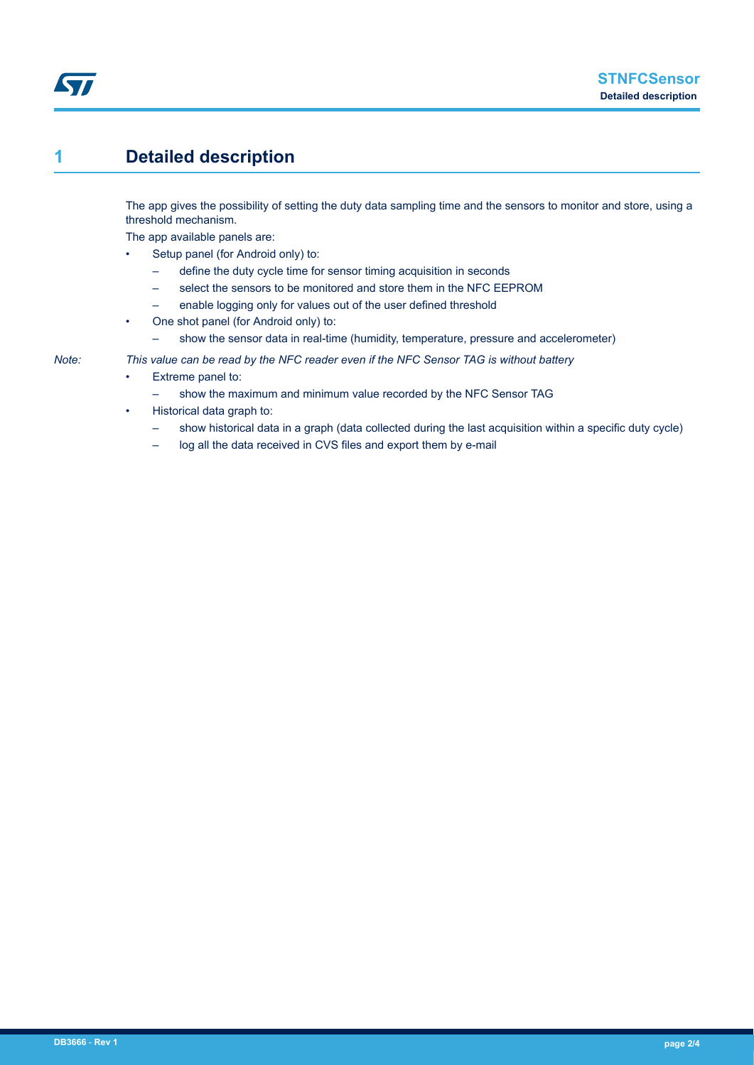## **1 Detailed description**

The app gives the possibility of setting the duty data sampling time and the sensors to monitor and store, using a threshold mechanism.

The app available panels are:

- Setup panel (for Android only) to:
	- define the duty cycle time for sensor timing acquisition in seconds
	- select the sensors to be monitored and store them in the NFC EEPROM
	- enable logging only for values out of the user defined threshold
- One shot panel (for Android only) to:
	- show the sensor data in real-time (humidity, temperature, pressure and accelerometer)

#### *Note: This value can be read by the NFC reader even if the NFC Sensor TAG is without battery*

- Extreme panel to:
	- show the maximum and minimum value recorded by the NFC Sensor TAG
- Historical data graph to:
	- show historical data in a graph (data collected during the last acquisition within a specific duty cycle)
	- log all the data received in CVS files and export them by e-mail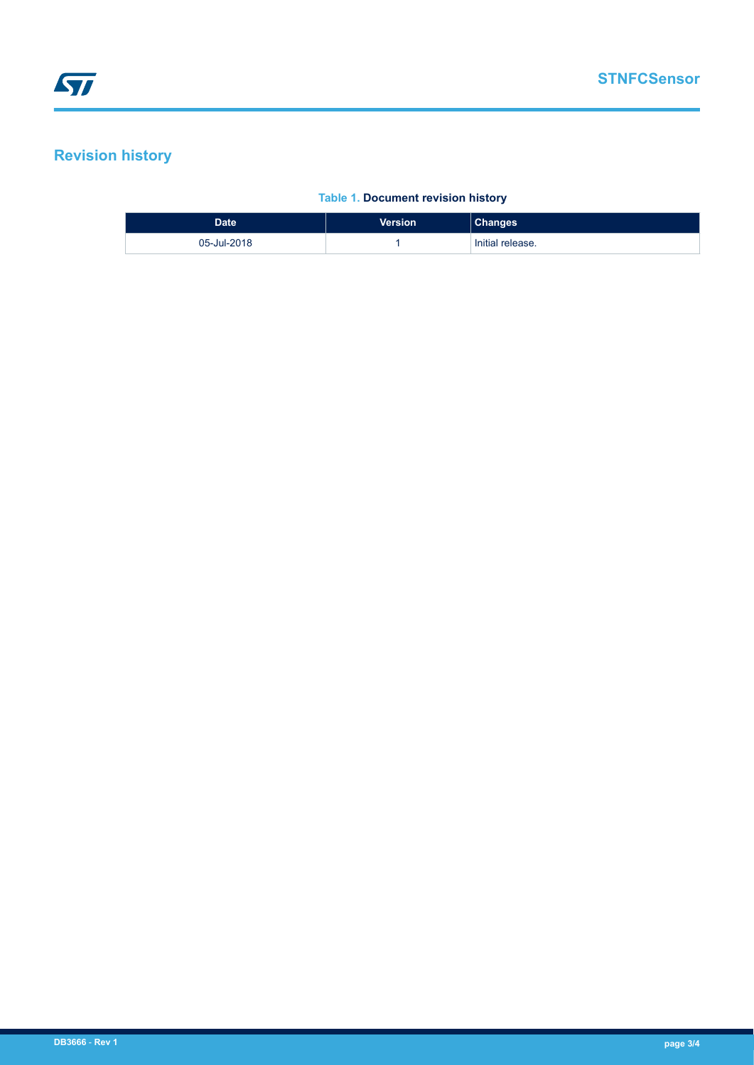# **Revision history**

### **Table 1. Document revision history**

| Date <sup>1</sup> | <b>Version</b> | <b>Changes</b>   |
|-------------------|----------------|------------------|
| 05-Jul-2018       |                | Initial release. |